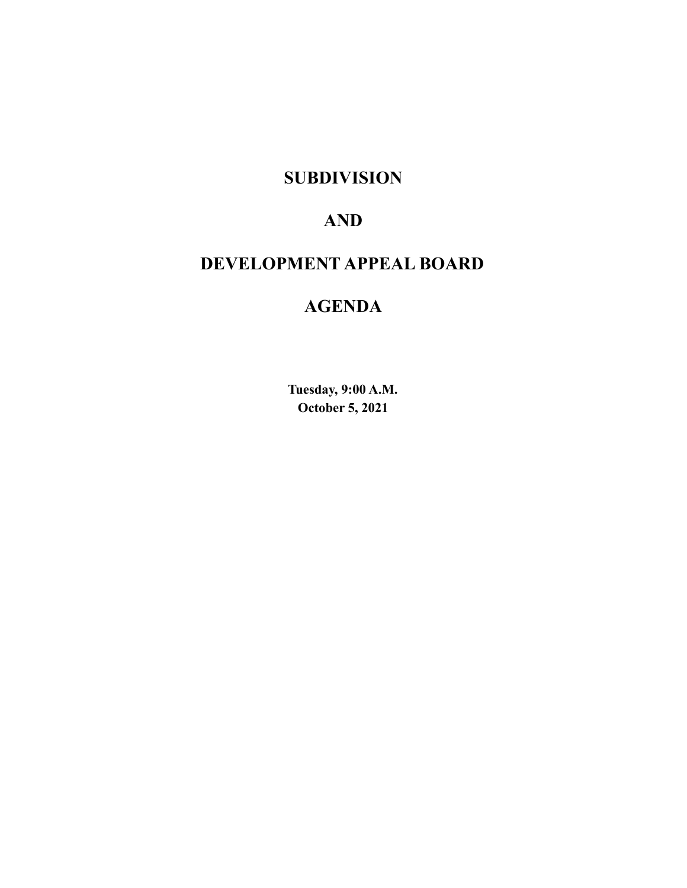# **SUBDIVISION**

# **AND**

# **DEVELOPMENT APPEAL BOARD**

# **AGENDA**

**Tuesday, 9:00 A.M. October 5, 2021**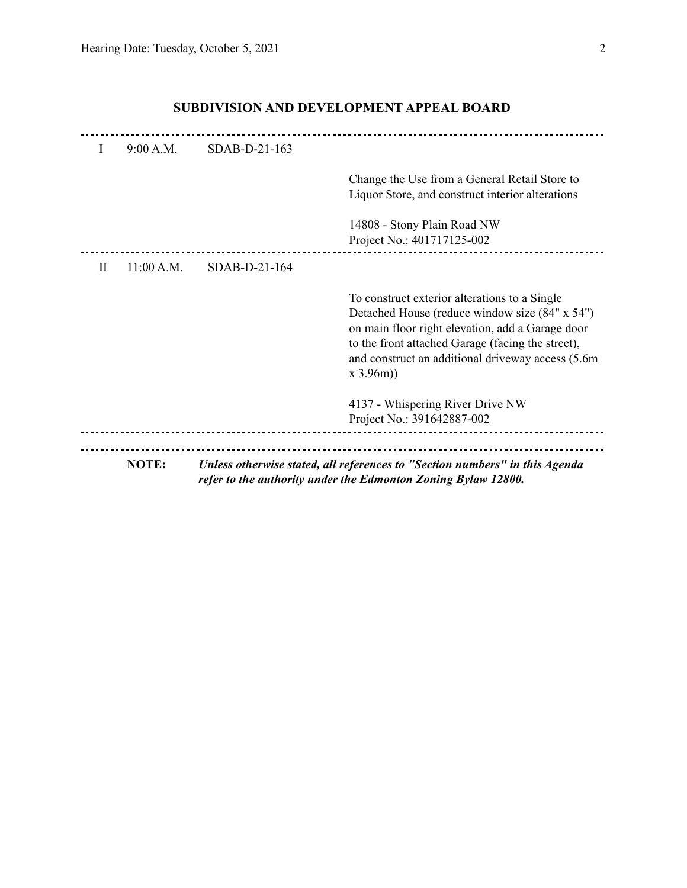|    | NOTE:      |               | Unless otherwise stated, all references to "Section numbers" in this Agenda<br>refer to the authority under the Edmonton Zoning Bylaw 12800.                                                                                                                               |
|----|------------|---------------|----------------------------------------------------------------------------------------------------------------------------------------------------------------------------------------------------------------------------------------------------------------------------|
|    |            |               | 4137 - Whispering River Drive NW<br>Project No.: 391642887-002                                                                                                                                                                                                             |
|    |            |               | To construct exterior alterations to a Single<br>Detached House (reduce window size (84" x 54")<br>on main floor right elevation, add a Garage door<br>to the front attached Garage (facing the street),<br>and construct an additional driveway access (5.6m)<br>x 3.96m) |
| H  | 11:00 A.M. | SDAB-D-21-164 |                                                                                                                                                                                                                                                                            |
|    |            |               | 14808 - Stony Plain Road NW<br>Project No.: 401717125-002                                                                                                                                                                                                                  |
|    |            |               | Change the Use from a General Retail Store to<br>Liquor Store, and construct interior alterations                                                                                                                                                                          |
| Ι. | 9:00 A.M.  | SDAB-D-21-163 |                                                                                                                                                                                                                                                                            |
|    |            |               |                                                                                                                                                                                                                                                                            |

# **SUBDIVISION AND DEVELOPMENT APPEAL BOARD**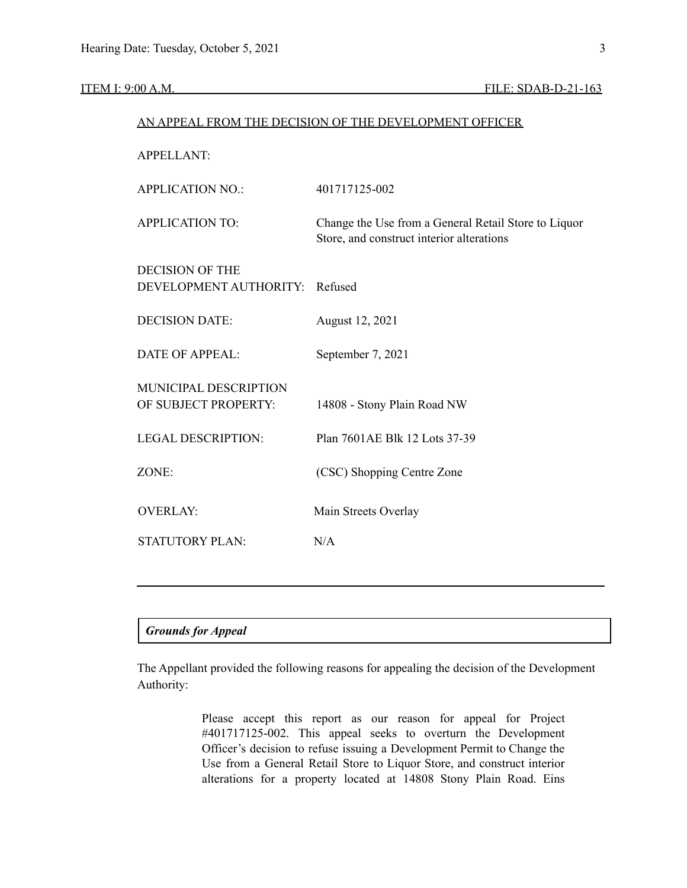|                                               | AN APPEAL FROM THE DECISION OF THE DEVELOPMENT OFFICER                                            |  |  |
|-----------------------------------------------|---------------------------------------------------------------------------------------------------|--|--|
| <b>APPELLANT:</b>                             |                                                                                                   |  |  |
| <b>APPLICATION NO.:</b>                       | 401717125-002                                                                                     |  |  |
| <b>APPLICATION TO:</b>                        | Change the Use from a General Retail Store to Liquor<br>Store, and construct interior alterations |  |  |
| <b>DECISION OF THE</b>                        |                                                                                                   |  |  |
| DEVELOPMENT AUTHORITY:                        | Refused                                                                                           |  |  |
| <b>DECISION DATE:</b>                         | August 12, 2021                                                                                   |  |  |
| <b>DATE OF APPEAL:</b>                        | September 7, 2021                                                                                 |  |  |
| MUNICIPAL DESCRIPTION<br>OF SUBJECT PROPERTY: | 14808 - Stony Plain Road NW                                                                       |  |  |
| <b>LEGAL DESCRIPTION:</b>                     | Plan 7601AE Blk 12 Lots 37-39                                                                     |  |  |
| ZONE:                                         | (CSC) Shopping Centre Zone                                                                        |  |  |
| <b>OVERLAY:</b>                               | Main Streets Overlay                                                                              |  |  |
| <b>STATUTORY PLAN:</b>                        | N/A                                                                                               |  |  |
|                                               |                                                                                                   |  |  |

# *Grounds for Appeal*

The Appellant provided the following reasons for appealing the decision of the Development Authority:

> Please accept this report as our reason for appeal for Project #401717125-002. This appeal seeks to overturn the Development Officer's decision to refuse issuing a Development Permit to Change the Use from a General Retail Store to Liquor Store, and construct interior alterations for a property located at 14808 Stony Plain Road. Eins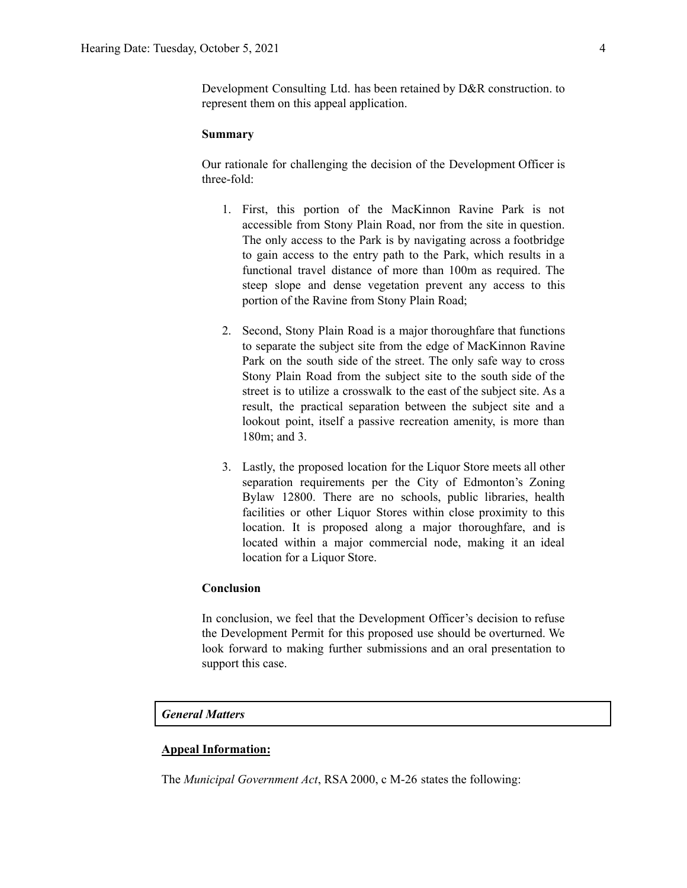## **Summary**

Our rationale for challenging the decision of the Development Officer is three-fold:

- 1. First, this portion of the MacKinnon Ravine Park is not accessible from Stony Plain Road, nor from the site in question. The only access to the Park is by navigating across a footbridge to gain access to the entry path to the Park, which results in a functional travel distance of more than 100m as required. The steep slope and dense vegetation prevent any access to this portion of the Ravine from Stony Plain Road;
- 2. Second, Stony Plain Road is a major thoroughfare that functions to separate the subject site from the edge of MacKinnon Ravine Park on the south side of the street. The only safe way to cross Stony Plain Road from the subject site to the south side of the street is to utilize a crosswalk to the east of the subject site. As a result, the practical separation between the subject site and a lookout point, itself a passive recreation amenity, is more than 180m; and 3.
- 3. Lastly, the proposed location for the Liquor Store meets all other separation requirements per the City of Edmonton's Zoning Bylaw 12800. There are no schools, public libraries, health facilities or other Liquor Stores within close proximity to this location. It is proposed along a major thoroughfare, and is located within a major commercial node, making it an ideal location for a Liquor Store.

# **Conclusion**

In conclusion, we feel that the Development Officer's decision to refuse the Development Permit for this proposed use should be overturned. We look forward to making further submissions and an oral presentation to support this case.

## *General Matters*

# **Appeal Information:**

The *Municipal Government Act*, RSA 2000, c M-26 states the following: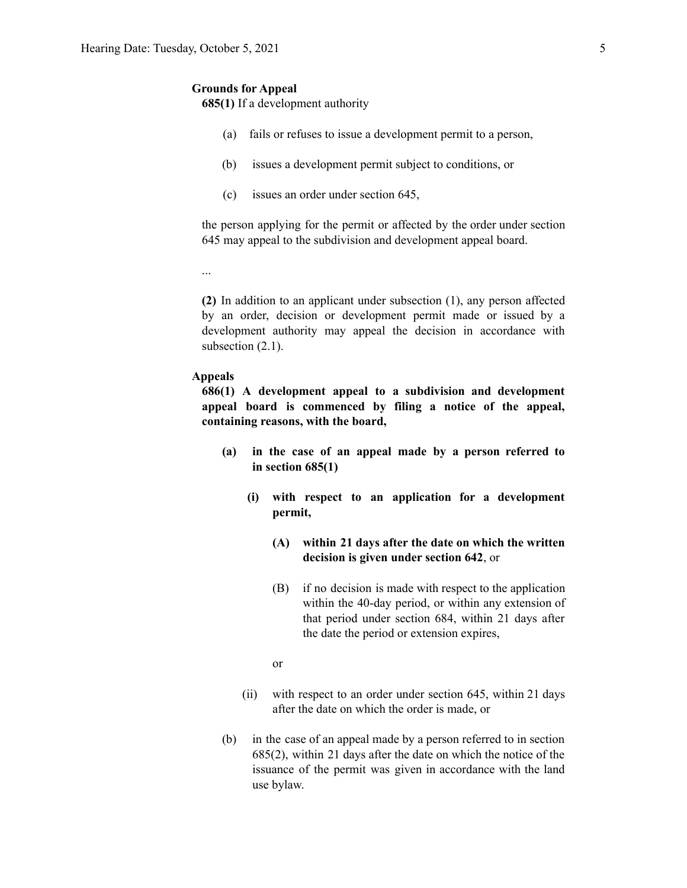#### **Grounds for Appeal**

**685(1)** If a development authority

- (a) fails or refuses to issue a development permit to a person,
- (b) issues a development permit subject to conditions, or
- (c) issues an order under section 645,

the person applying for the permit or affected by the order under section 645 may appeal to the subdivision and development appeal board.

...

**(2)** In addition to an applicant under subsection (1), any person affected by an order, decision or development permit made or issued by a development authority may appeal the decision in accordance with subsection  $(2.1)$ .

# **Appeals**

**686(1) A development appeal to a subdivision and development appeal board is commenced by filing a notice of the appeal, containing reasons, with the board,**

- **(a) in the case of an appeal made by a person referred to in section 685(1)**
	- **(i) with respect to an application for a development permit,**
		- **(A) within 21 days after the date on which the written decision is given under section 642**, or
		- (B) if no decision is made with respect to the application within the 40-day period, or within any extension of that period under section 684, within 21 days after the date the period or extension expires,

or

- (ii) with respect to an order under section 645, within 21 days after the date on which the order is made, or
- (b) in the case of an appeal made by a person referred to in section 685(2), within 21 days after the date on which the notice of the issuance of the permit was given in accordance with the land use bylaw.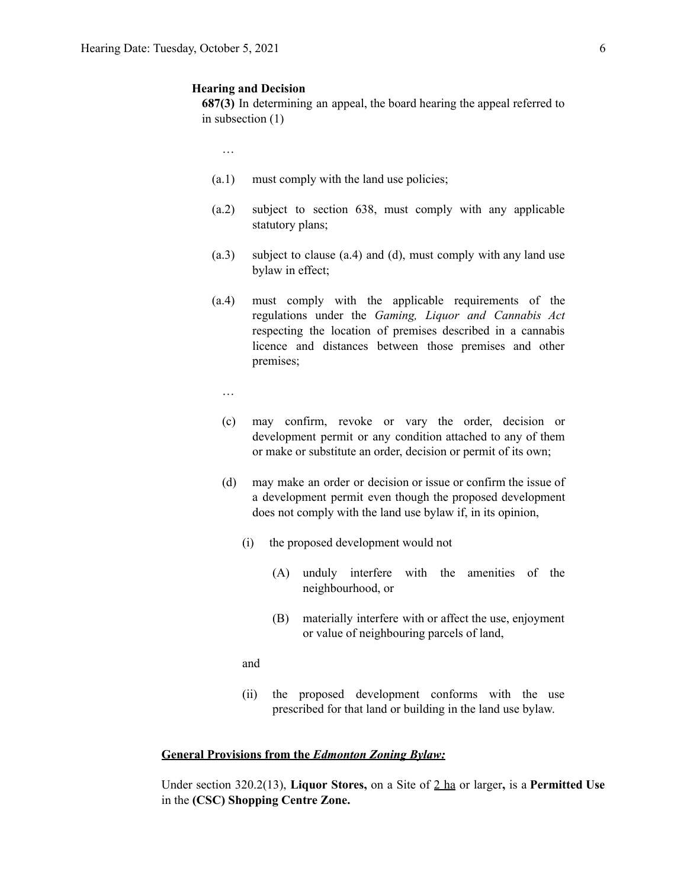## **Hearing and Decision**

**687(3)** In determining an appeal, the board hearing the appeal referred to in subsection (1)

…

- (a.1) must comply with the land use policies;
- (a.2) subject to section 638, must comply with any applicable statutory plans;
- (a.3) subject to clause (a.4) and (d), must comply with any land use bylaw in effect;
- (a.4) must comply with the applicable requirements of the regulations under the *Gaming, Liquor and Cannabis Act* respecting the location of premises described in a cannabis licence and distances between those premises and other premises;
	- …
	- (c) may confirm, revoke or vary the order, decision or development permit or any condition attached to any of them or make or substitute an order, decision or permit of its own;
	- (d) may make an order or decision or issue or confirm the issue of a development permit even though the proposed development does not comply with the land use bylaw if, in its opinion,
		- (i) the proposed development would not
			- (A) unduly interfere with the amenities of the neighbourhood, or
			- (B) materially interfere with or affect the use, enjoyment or value of neighbouring parcels of land,

and

(ii) the proposed development conforms with the use prescribed for that land or building in the land use bylaw.

## **General Provisions from the** *Edmonton Zoning Bylaw:*

Under section 320.2(13), **Liquor Stores,** on a Site of 2 ha or larger**,** is a **Permitted Use** in the **(CSC) Shopping Centre Zone.**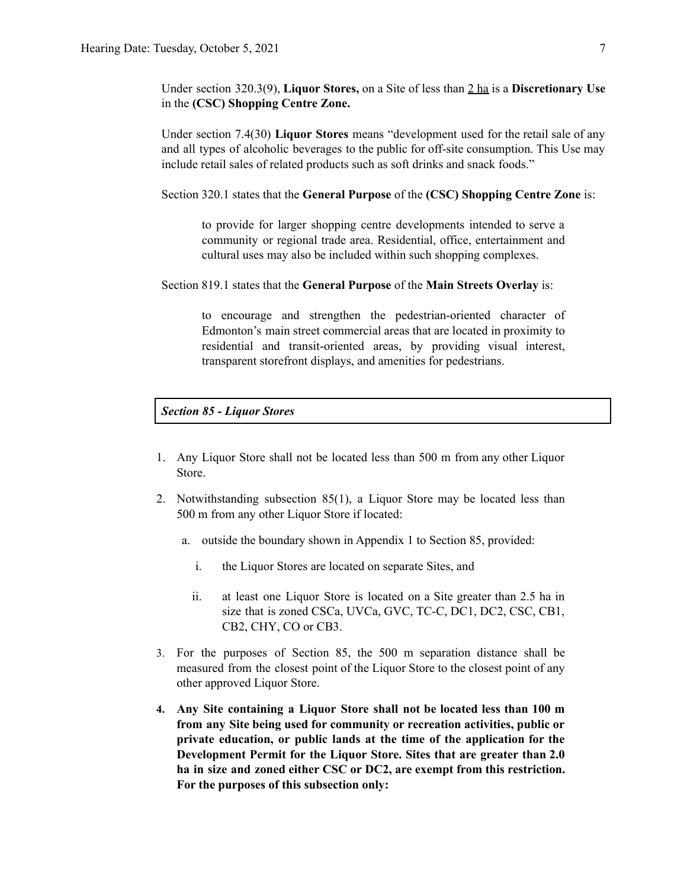Under section 320.3(9), **Liquor Stores,** on a Site of less than 2 ha is a **Discretionary Use** in the **(CSC) Shopping Centre Zone.**

Under section 7.4(30) **Liquor Stores** means "development used for the retail sale of any and all types of alcoholic beverages to the public for off-site consumption. This Use may include retail sales of related products such as soft drinks and snack foods."

Section 320.1 states that the **General Purpose** of the **(CSC) Shopping Centre Zone** is:

to provide for larger shopping centre developments intended to serve a community or regional trade area. Residential, office, entertainment and cultural uses may also be included within such shopping complexes.

Section 819.1 states that the **General Purpose** of the **Main Streets Overlay** is:

to encourage and strengthen the pedestrian-oriented character of Edmonton's main street commercial areas that are located in proximity to residential and transit-oriented areas, by providing visual interest, transparent storefront displays, and amenities for pedestrians.

# *Section 85 - Liquor Stores*

- 1. Any Liquor Store shall not be located less than [500](https://webdocs.edmonton.ca/InfraPlan/zoningbylaw/ZoningBylaw/Measurements/im500.htm) m from any other Liquor Store.
- 2. Notwithstanding subsection 85(1), a Liquor Store may be located less than [500](https://webdocs.edmonton.ca/InfraPlan/zoningbylaw/ZoningBylaw/Measurements/im500.htm) m from any other Liquor Store if located:
	- a. outside the boundary shown in Appendix 1 to Section 85, provided:
		- i. the Liquor Stores are located on separate Sites, and
		- ii. at least one Liquor Store is located on a Site greater than 2.5 ha in size that is zoned [CSCa](https://webdocs.edmonton.ca/InfraPlan/zoningbylaw/ZoningBylaw/Part2/Special_Areas/960_5_(CSCa)_Ambleside_Shopping_Centre_Zone.htm), [UVCa,](https://webdocs.edmonton.ca/InfraPlan/zoningbylaw/ZoningBylaw/Part2/Special_Areas/960.6_(UVCa)_Ambleside_Urban_Village_Commercial_Zone.htm) [GVC,](https://webdocs.edmonton.ca/InfraPlan/zoningbylaw/ZoningBylaw/Part2/Special_Areas/940_6_(GVC)_Griesbach_Village_Centre_Zone.htm) [TC-C](https://webdocs.edmonton.ca/InfraPlan/zoningbylaw/ZoningBylaw/Part2/Special_Areas/990_4_(TC-C)_Heritage_Valley_Town_Centre_Commercial_Zone.htm), [DC1](https://webdocs.edmonton.ca/InfraPlan/zoningbylaw/ZoningBylaw/Part2/Direct/710_(DC1)_Direct_Development_Control_Provision.htm), [DC2,](https://webdocs.edmonton.ca/InfraPlan/zoningbylaw/ZoningBylaw/Part2/Direct/720_(DC2)_Site_Specific_Development_Control_Provision.htm) [CSC,](https://webdocs.edmonton.ca/InfraPlan/zoningbylaw/ZoningBylaw/Part2/Commercial/320_(CSC)_Shopping_Centre_Zone.htm) [CB1,](https://webdocs.edmonton.ca/InfraPlan/zoningbylaw/ZoningBylaw/Part2/Commercial/330_(CB1)_Low_Intensity_Business_Zone.htm) [CB2](https://webdocs.edmonton.ca/InfraPlan/zoningbylaw/ZoningBylaw/Part2/Commercial/340_(CB2)_General_Business_Zone.htm), [CHY,](https://webdocs.edmonton.ca/InfraPlan/zoningbylaw/ZoningBylaw/Part2/Commercial/350_(CHY)_Highway_Corridor_Zone.htm) [CO](https://webdocs.edmonton.ca/InfraPlan/zoningbylaw/ZoningBylaw/Part2/Commercial/360_(CO)_Commercial_Office_Zone.htm) or [CB3](https://webdocs.edmonton.ca/InfraPlan/zoningbylaw/ZoningBylaw/Part2/Commercial/370_(CB3)_Commercial_Mixed_Business_Zone.htm).
- 3. For the purposes of Section 85, the [500](https://webdocs.edmonton.ca/InfraPlan/zoningbylaw/ZoningBylaw/Measurements/im500.htm) m separation distance shall be measured from the closest point of the Liquor Store to the closest point of any other approved Liquor Store.
- **4. Any Site containing a Liquor Store shall not be located less than 100 m from any Site being used for community or recreation activities, public or private education, or public lands at the time of the application for the Development Permit for the Liquor Store. Sites that are greater than 2.0 ha in size and zoned either CSC or DC2, are exempt from this restriction. For the purposes of this subsection only:**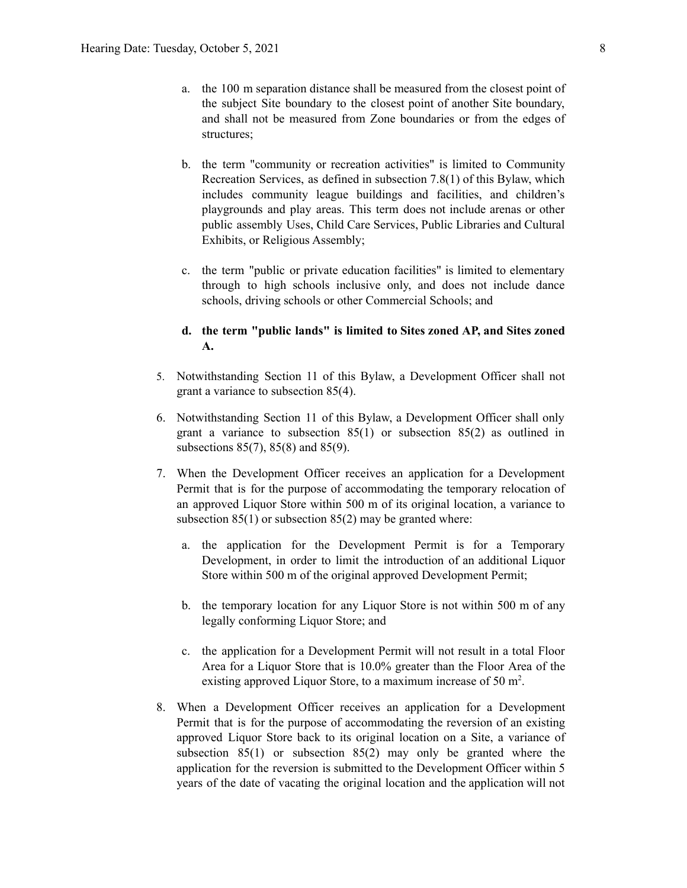- a. the 100 m separation distance shall be measured from the closest point of the subject Site boundary to the closest point of another Site boundary, and shall not be measured from Zone boundaries or from the edges of structures;
- b. the term "community or recreation activities" is limited to Community Recreation Services, as defined in subsection 7.8(1) of this Bylaw, which includes community league buildings and facilities, and children's playgrounds and play areas. This term does not include arenas or other public assembly Uses, Child Care Services, Public Libraries and Cultural Exhibits, or Religious Assembly;
- c. the term "public or private education facilities" is limited to elementary through to high schools inclusive only, and does not include dance schools, driving schools or other Commercial Schools; and

# **d. the term "public lands" is limited to Sites zoned AP, and Sites zoned A.**

- 5. Notwithstanding Section 11 of this Bylaw, a Development Officer shall not grant a variance to subsection 85(4).
- 6. Notwithstanding Section 11 of this Bylaw, a Development Officer shall only grant a variance to subsection 85(1) or subsection 85(2) as outlined in subsections 85(7), 85(8) and 85(9).
- 7. When the Development Officer receives an application for a Development Permit that is for the purpose of accommodating the temporary relocation of an approved Liquor Store within 500 m of its original location, a variance to subsection  $85(1)$  or subsection  $85(2)$  may be granted where:
	- a. the application for the Development Permit is for a Temporary Development, in order to limit the introduction of an additional Liquor Store within [500](https://webdocs.edmonton.ca/InfraPlan/zoningbylaw/ZoningBylaw/Measurements/im500.htm) m of the original approved Development Permit;
	- b. the temporary location for any Liquor Store is not within [500](https://webdocs.edmonton.ca/InfraPlan/zoningbylaw/ZoningBylaw/Measurements/im500.htm) m of any legally conforming Liquor Store; and
	- c. the application for a Development Permit will not result in a total Floor Area for a Liquor Store that is 10.0% greater than the Floor Area of the existing approved Liquor Store, to a maximum increase of [50](https://webdocs.edmonton.ca/InfraPlan/zoningbylaw/ZoningBylaw/Measurements/ia50.htm) m<sup>2</sup>.
- 8. When a Development Officer receives an application for a Development Permit that is for the purpose of accommodating the reversion of an existing approved Liquor Store back to its original location on a Site, a variance of subsection 85(1) or subsection 85(2) may only be granted where the application for the reversion is submitted to the Development Officer within 5 years of the date of vacating the original location and the application will not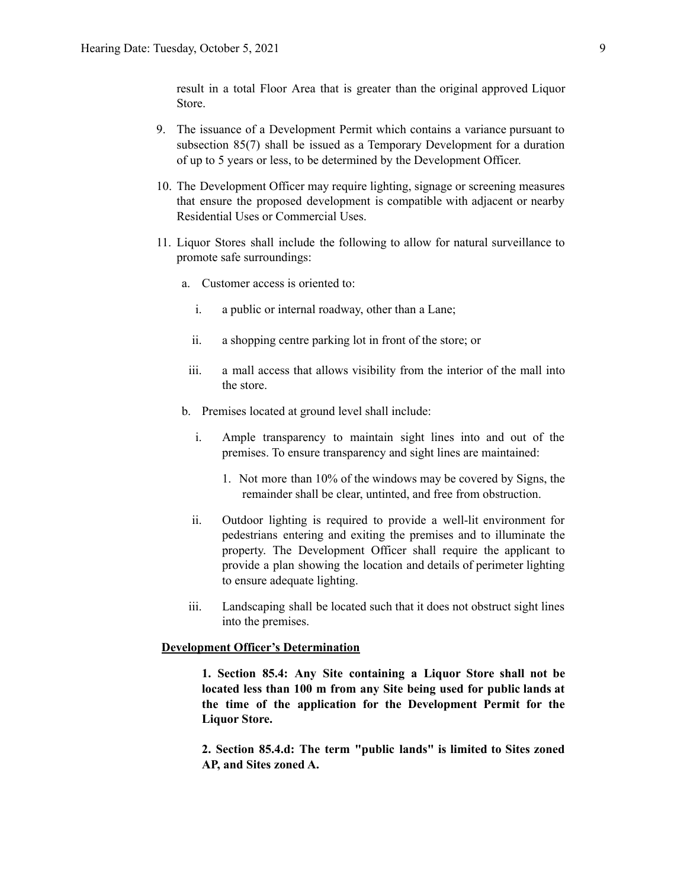result in a total Floor Area that is greater than the original approved Liquor Store.

- 9. The issuance of a Development Permit which contains a variance pursuant to subsection 85(7) shall be issued as a Temporary Development for a duration of up to 5 years or less, to be determined by the Development Officer.
- 10. The Development Officer may require lighting, signage or screening measures that ensure the proposed development is compatible with adjacent or nearby Residential Uses or Commercial Uses.
- 11. Liquor Stores shall include the following to allow for natural surveillance to promote safe surroundings:
	- a. Customer access is oriented to:
		- i. a public or internal roadway, other than a Lane;
		- ii. a shopping centre parking lot in front of the store; or
	- iii. a mall access that allows visibility from the interior of the mall into the store.
	- b. Premises located at ground level shall include:
		- i. Ample transparency to maintain sight lines into and out of the premises. To ensure transparency and sight lines are maintained:
			- 1. Not more than 10% of the windows may be covered by Signs, the remainder shall be clear, untinted, and free from obstruction.
		- ii. Outdoor lighting is required to provide a well-lit environment for pedestrians entering and exiting the premises and to illuminate the property. The Development Officer shall require the applicant to provide a plan showing the location and details of perimeter lighting to ensure adequate lighting.
	- iii. Landscaping shall be located such that it does not obstruct sight lines into the premises.

## **Development Officer's Determination**

**1. Section 85.4: Any Site containing a Liquor Store shall not be located less than 100 m from any Site being used for public lands at the time of the application for the Development Permit for the Liquor Store.**

**2. Section 85.4.d: The term "public lands" is limited to Sites zoned AP, and Sites zoned A.**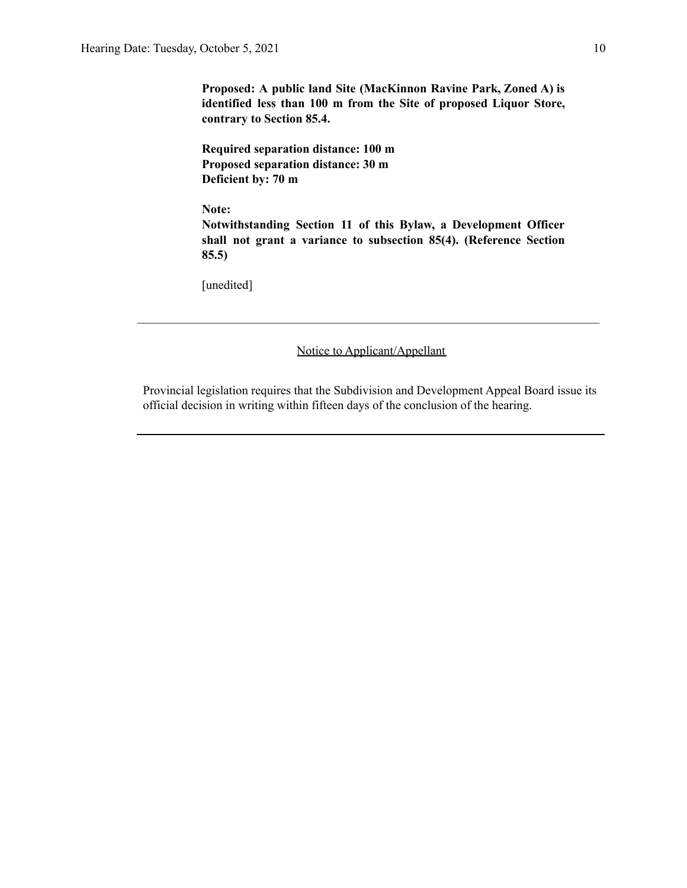**Proposed: A public land Site (MacKinnon Ravine Park, Zoned A) is identified less than 100 m from the Site of proposed Liquor Store, contrary to Section 85.4.**

**Required separation distance: 100 m Proposed separation distance: 30 m Deficient by: 70 m**

**Note:**

**Notwithstanding Section 11 of this Bylaw, a Development Officer shall not grant a variance to subsection 85(4). (Reference Section 85.5)**

[unedited]

Notice to Applicant/Appellant

 $\mathcal{L}_\text{max} = \frac{1}{2} \sum_{i=1}^n \mathcal{L}_\text{max} = \frac{1}{2} \sum_{i=1}^n \mathcal{L}_\text{max} = \frac{1}{2} \sum_{i=1}^n \mathcal{L}_\text{max} = \frac{1}{2} \sum_{i=1}^n \mathcal{L}_\text{max} = \frac{1}{2} \sum_{i=1}^n \mathcal{L}_\text{max} = \frac{1}{2} \sum_{i=1}^n \mathcal{L}_\text{max} = \frac{1}{2} \sum_{i=1}^n \mathcal{L}_\text{max} = \frac{1}{2} \sum_{i=$ 

Provincial legislation requires that the Subdivision and Development Appeal Board issue its official decision in writing within fifteen days of the conclusion of the hearing.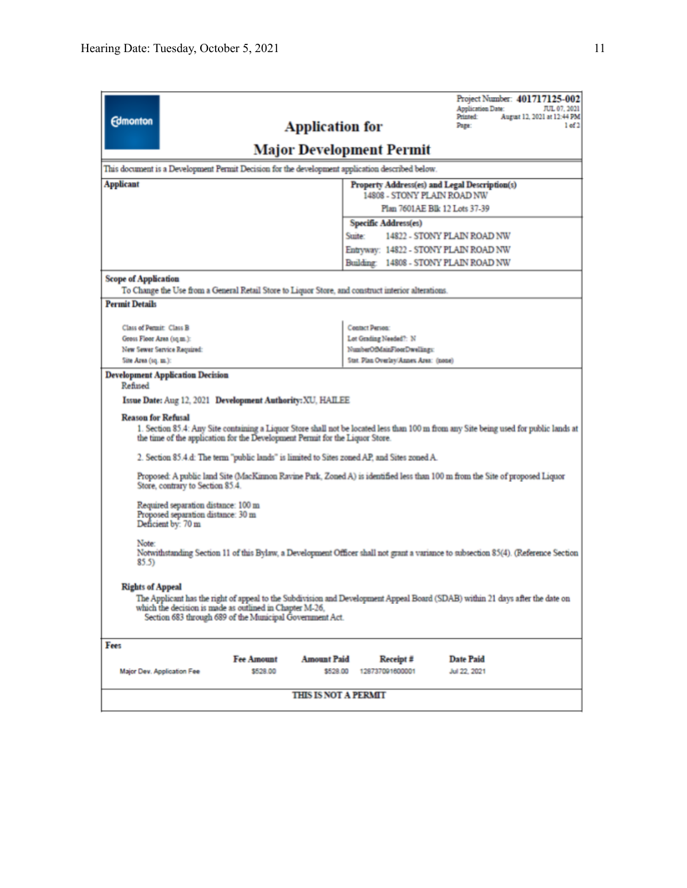| <b>Edmonton</b>                                                                                                                                                                                                                                                                                                  |                                                              | <b>Application for</b>      |                                                  | Project Number: 401717125-002<br><b>Application Date:</b><br>JUL 07, 2021<br>August 12, 2021 at 12:44 PM<br>Printed:<br>Page:<br>1 of 2 |  |  |  |  |
|------------------------------------------------------------------------------------------------------------------------------------------------------------------------------------------------------------------------------------------------------------------------------------------------------------------|--------------------------------------------------------------|-----------------------------|--------------------------------------------------|-----------------------------------------------------------------------------------------------------------------------------------------|--|--|--|--|
| <b>Major Development Permit</b>                                                                                                                                                                                                                                                                                  |                                                              |                             |                                                  |                                                                                                                                         |  |  |  |  |
| This document is a Development Permit Decision for the development application described below.                                                                                                                                                                                                                  |                                                              |                             |                                                  |                                                                                                                                         |  |  |  |  |
| <b>Applicant</b><br>Property Address(es) and Legal Description(s)                                                                                                                                                                                                                                                |                                                              |                             |                                                  |                                                                                                                                         |  |  |  |  |
|                                                                                                                                                                                                                                                                                                                  | 14808 - STONY PLAIN ROAD NW<br>Plan 7601AE Blk 12 Lots 37-39 |                             |                                                  |                                                                                                                                         |  |  |  |  |
|                                                                                                                                                                                                                                                                                                                  | Specific Address(es)                                         |                             |                                                  |                                                                                                                                         |  |  |  |  |
| 14822 - STONY PLAIN ROAD NW<br>Stuite:                                                                                                                                                                                                                                                                           |                                                              |                             |                                                  |                                                                                                                                         |  |  |  |  |
|                                                                                                                                                                                                                                                                                                                  |                                                              |                             |                                                  | Entryway: 14822 - STONY PLAIN ROAD NW                                                                                                   |  |  |  |  |
|                                                                                                                                                                                                                                                                                                                  |                                                              |                             |                                                  | Building: 14808 - STONY PLAIN ROAD NW                                                                                                   |  |  |  |  |
| <b>Scope of Application</b>                                                                                                                                                                                                                                                                                      |                                                              |                             |                                                  |                                                                                                                                         |  |  |  |  |
| To Change the Use from a General Retail Store to Liquor Store, and construct interior alterations.                                                                                                                                                                                                               |                                                              |                             |                                                  |                                                                                                                                         |  |  |  |  |
| <b>Permit Details</b>                                                                                                                                                                                                                                                                                            |                                                              |                             |                                                  |                                                                                                                                         |  |  |  |  |
| Class of Permit: Class B                                                                                                                                                                                                                                                                                         |                                                              |                             |                                                  |                                                                                                                                         |  |  |  |  |
| Gross Floor Area (sq.m.):                                                                                                                                                                                                                                                                                        |                                                              |                             | <b>Contact Person:</b><br>Lot Grading Needed?: N |                                                                                                                                         |  |  |  |  |
| New Sewer Service Required:                                                                                                                                                                                                                                                                                      |                                                              |                             | NumberOfMainFloorDwellings:                      |                                                                                                                                         |  |  |  |  |
| Site Area (sq. m.):                                                                                                                                                                                                                                                                                              |                                                              |                             | Stat. Plan Overlay/Annex Area: (none)            |                                                                                                                                         |  |  |  |  |
| Issue Date: Aug 12, 2021 Development Authority: XU, HAILEE<br><b>Reason for Refusal</b><br>1. Section 85.4: Any Site containing a Liquor Store shall not be located less than 100 m from any Site being used for public lands at<br>the time of the application for the Development Permit for the Liquor Store. |                                                              |                             |                                                  |                                                                                                                                         |  |  |  |  |
| 2. Section 85.4.d: The term "public lands" is limited to Sites zoned AP, and Sites zoned A.                                                                                                                                                                                                                      |                                                              |                             |                                                  |                                                                                                                                         |  |  |  |  |
| Proposed: A public land Site (MacKinnon Ravine Park, Zoned A) is identified less than 100 m from the Site of proposed Liquor<br>Store, contrary to Section 85.4.                                                                                                                                                 |                                                              |                             |                                                  |                                                                                                                                         |  |  |  |  |
| Required separation distance: 100 m<br>Proposed separation distance: 30 m<br>Deficient by: 70 m                                                                                                                                                                                                                  |                                                              |                             |                                                  |                                                                                                                                         |  |  |  |  |
| Note:<br>Notwithstanding Section 11 of this Bylaw, a Development Officer shall not grant a variance to subsection 85(4). (Reference Section<br>85.5                                                                                                                                                              |                                                              |                             |                                                  |                                                                                                                                         |  |  |  |  |
| <b>Rights of Appeal</b><br>The Applicant has the right of appeal to the Subdivision and Development Appeal Board (SDAB) within 21 days after the date on<br>which the decision is made as outlined in Chapter M-26.<br>Section 683 through 689 of the Municipal Government Act.                                  |                                                              |                             |                                                  |                                                                                                                                         |  |  |  |  |
| Fees                                                                                                                                                                                                                                                                                                             |                                                              |                             |                                                  |                                                                                                                                         |  |  |  |  |
|                                                                                                                                                                                                                                                                                                                  | <b>Fee Amount</b>                                            | <b>Amount Paid</b>          | Receipt #                                        | Date Paid                                                                                                                               |  |  |  |  |
| Major Dev. Application Fee                                                                                                                                                                                                                                                                                       | \$528.00                                                     | \$528.00                    | 128737091600001                                  | Jul 22, 2021                                                                                                                            |  |  |  |  |
|                                                                                                                                                                                                                                                                                                                  |                                                              | <b>THIS IS NOT A PERMIT</b> |                                                  |                                                                                                                                         |  |  |  |  |
|                                                                                                                                                                                                                                                                                                                  |                                                              |                             |                                                  |                                                                                                                                         |  |  |  |  |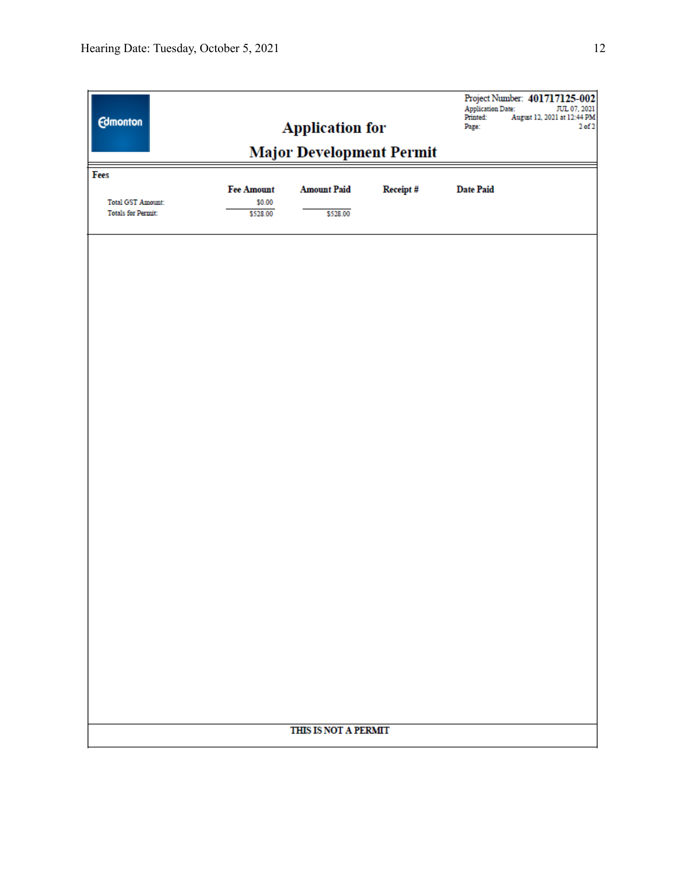| <b>Edmonton</b>                                                                 | <b>Application for</b><br><b>Major Development Permit</b> |                      |  | Printed:<br>Page: | Project Number: 401717125-002<br><b>Application Date:</b><br>JUL 07, 2021<br>August 12, 2021 at 12:44 PM<br>$2$ of $2$ |  |  |
|---------------------------------------------------------------------------------|-----------------------------------------------------------|----------------------|--|-------------------|------------------------------------------------------------------------------------------------------------------------|--|--|
| Fees<br><b>Date Paid</b><br><b>Fee Amount</b><br><b>Amount Paid</b><br>Receipt# |                                                           |                      |  |                   |                                                                                                                        |  |  |
| <b>Total GST Amount:</b><br><b>Totals for Permit:</b>                           | \$0.00<br>\$528.00                                        | \$528.00             |  |                   |                                                                                                                        |  |  |
|                                                                                 |                                                           |                      |  |                   |                                                                                                                        |  |  |
|                                                                                 |                                                           |                      |  |                   |                                                                                                                        |  |  |
|                                                                                 |                                                           |                      |  |                   |                                                                                                                        |  |  |
|                                                                                 |                                                           |                      |  |                   |                                                                                                                        |  |  |
|                                                                                 |                                                           |                      |  |                   |                                                                                                                        |  |  |
|                                                                                 |                                                           |                      |  |                   |                                                                                                                        |  |  |
|                                                                                 |                                                           |                      |  |                   |                                                                                                                        |  |  |
|                                                                                 |                                                           |                      |  |                   |                                                                                                                        |  |  |
|                                                                                 |                                                           |                      |  |                   |                                                                                                                        |  |  |
|                                                                                 |                                                           |                      |  |                   |                                                                                                                        |  |  |
|                                                                                 |                                                           |                      |  |                   |                                                                                                                        |  |  |
|                                                                                 |                                                           |                      |  |                   |                                                                                                                        |  |  |
|                                                                                 |                                                           |                      |  |                   |                                                                                                                        |  |  |
|                                                                                 |                                                           |                      |  |                   |                                                                                                                        |  |  |
|                                                                                 |                                                           |                      |  |                   |                                                                                                                        |  |  |
|                                                                                 |                                                           | THIS IS NOT A PERMIT |  |                   |                                                                                                                        |  |  |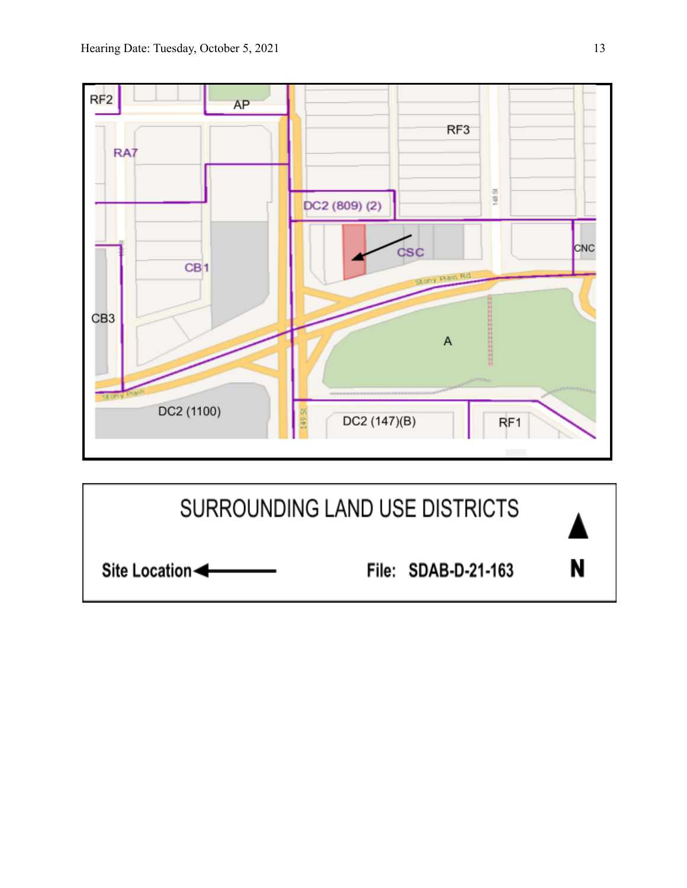

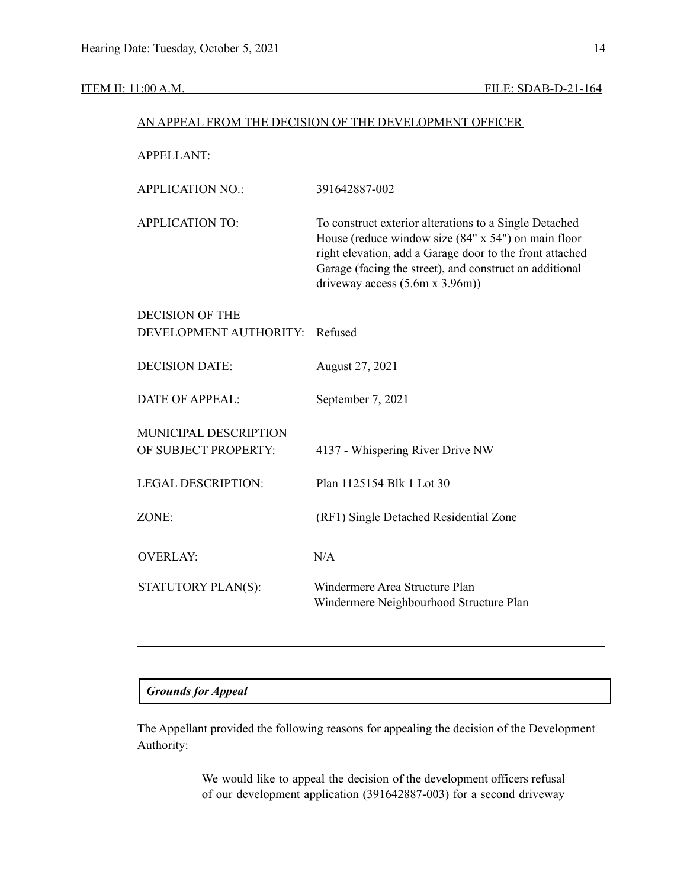# ITEM II: 11:00 A.M. FILE: SDAB-D-21-164

| AN APPEAL FROM THE DECISION OF THE DEVELOPMENT OFFICER |                                                                                                                                                                                                                                                                          |  |  |  |  |
|--------------------------------------------------------|--------------------------------------------------------------------------------------------------------------------------------------------------------------------------------------------------------------------------------------------------------------------------|--|--|--|--|
| <b>APPELLANT:</b>                                      |                                                                                                                                                                                                                                                                          |  |  |  |  |
| <b>APPLICATION NO.:</b>                                | 391642887-002                                                                                                                                                                                                                                                            |  |  |  |  |
| <b>APPLICATION TO:</b>                                 | To construct exterior alterations to a Single Detached<br>House (reduce window size (84" x 54") on main floor<br>right elevation, add a Garage door to the front attached<br>Garage (facing the street), and construct an additional<br>driveway access $(5.6m x 3.96m)$ |  |  |  |  |
| <b>DECISION OF THE</b><br>DEVELOPMENT AUTHORITY:       | Refused                                                                                                                                                                                                                                                                  |  |  |  |  |
| <b>DECISION DATE:</b>                                  | August 27, 2021                                                                                                                                                                                                                                                          |  |  |  |  |
| <b>DATE OF APPEAL:</b>                                 | September 7, 2021                                                                                                                                                                                                                                                        |  |  |  |  |
| MUNICIPAL DESCRIPTION<br>OF SUBJECT PROPERTY:          | 4137 - Whispering River Drive NW                                                                                                                                                                                                                                         |  |  |  |  |
| <b>LEGAL DESCRIPTION:</b>                              | Plan 1125154 Blk 1 Lot 30                                                                                                                                                                                                                                                |  |  |  |  |
| ZONE:                                                  | (RF1) Single Detached Residential Zone                                                                                                                                                                                                                                   |  |  |  |  |
| <b>OVERLAY:</b>                                        | N/A                                                                                                                                                                                                                                                                      |  |  |  |  |
| STATUTORY PLAN(S):                                     | Windermere Area Structure Plan<br>Windermere Neighbourhood Structure Plan                                                                                                                                                                                                |  |  |  |  |

# *Grounds for Appeal*

The Appellant provided the following reasons for appealing the decision of the Development Authority:

> We would like to appeal the decision of the development officers refusal of our development application (391642887-003) for a second driveway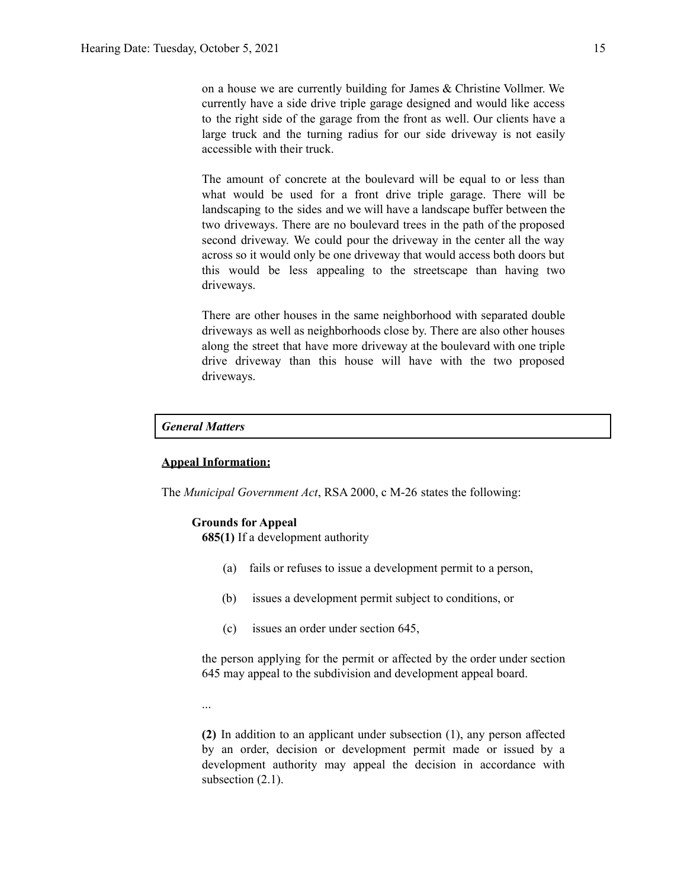on a house we are currently building for James & Christine Vollmer. We currently have a side drive triple garage designed and would like access to the right side of the garage from the front as well. Our clients have a large truck and the turning radius for our side driveway is not easily accessible with their truck.

The amount of concrete at the boulevard will be equal to or less than what would be used for a front drive triple garage. There will be landscaping to the sides and we will have a landscape buffer between the two driveways. There are no boulevard trees in the path of the proposed second driveway. We could pour the driveway in the center all the way across so it would only be one driveway that would access both doors but this would be less appealing to the streetscape than having two driveways.

There are other houses in the same neighborhood with separated double driveways as well as neighborhoods close by. There are also other houses along the street that have more driveway at the boulevard with one triple drive driveway than this house will have with the two proposed driveways.

# *General Matters*

# **Appeal Information:**

The *Municipal Government Act*, RSA 2000, c M-26 states the following:

#### **Grounds for Appeal**

**685(1)** If a development authority

- (a) fails or refuses to issue a development permit to a person,
- (b) issues a development permit subject to conditions, or
- (c) issues an order under section 645,

the person applying for the permit or affected by the order under section 645 may appeal to the subdivision and development appeal board.

...

**(2)** In addition to an applicant under subsection (1), any person affected by an order, decision or development permit made or issued by a development authority may appeal the decision in accordance with subsection  $(2.1)$ .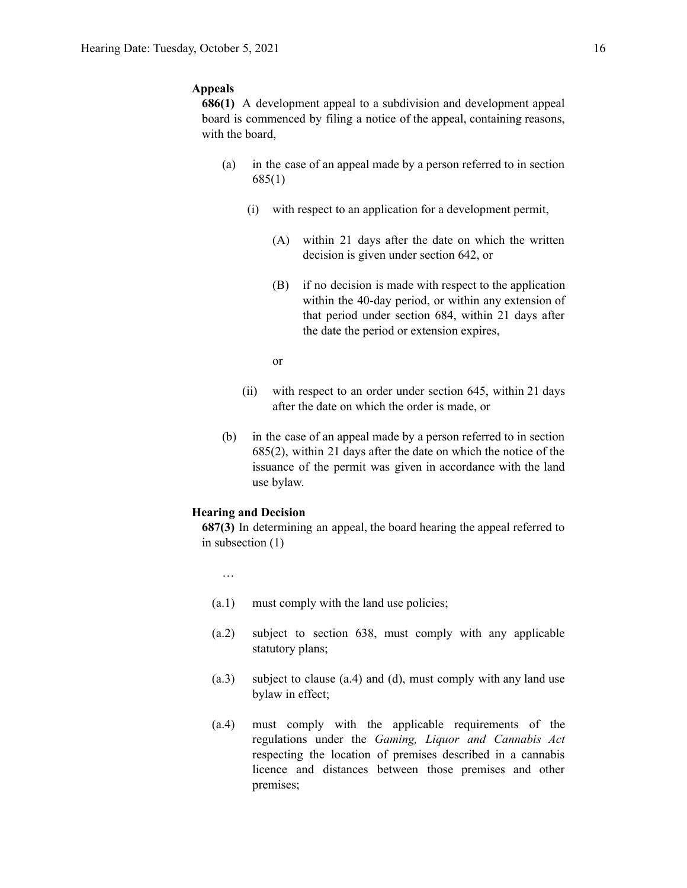# **Appeals**

**686(1)** A development appeal to a subdivision and development appeal board is commenced by filing a notice of the appeal, containing reasons, with the board,

- (a) in the case of an appeal made by a person referred to in section 685(1)
	- (i) with respect to an application for a development permit,
		- (A) within 21 days after the date on which the written decision is given under section 642, or
		- (B) if no decision is made with respect to the application within the 40-day period, or within any extension of that period under section 684, within 21 days after the date the period or extension expires,
		- or
	- (ii) with respect to an order under section 645, within 21 days after the date on which the order is made, or
- (b) in the case of an appeal made by a person referred to in section 685(2), within 21 days after the date on which the notice of the issuance of the permit was given in accordance with the land use bylaw.

#### **Hearing and Decision**

**687(3)** In determining an appeal, the board hearing the appeal referred to in subsection (1)

- …
- (a.1) must comply with the land use policies;
- (a.2) subject to section 638, must comply with any applicable statutory plans;
- (a.3) subject to clause (a.4) and (d), must comply with any land use bylaw in effect;
- (a.4) must comply with the applicable requirements of the regulations under the *Gaming, Liquor and Cannabis Act* respecting the location of premises described in a cannabis licence and distances between those premises and other premises;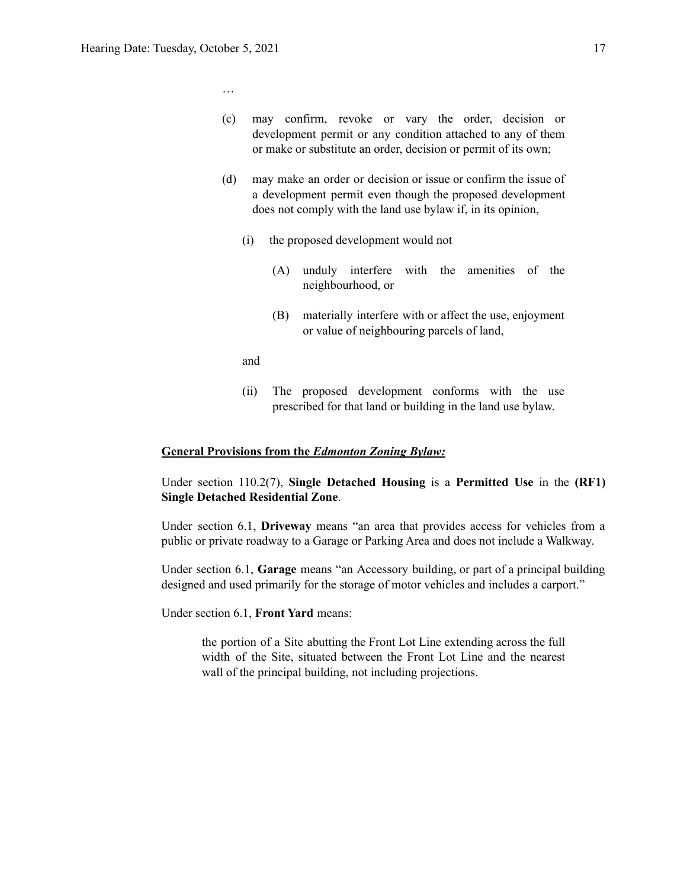…

- (c) may confirm, revoke or vary the order, decision or development permit or any condition attached to any of them or make or substitute an order, decision or permit of its own;
- (d) may make an order or decision or issue or confirm the issue of a development permit even though the proposed development does not comply with the land use bylaw if, in its opinion,
	- (i) the proposed development would not
		- (A) unduly interfere with the amenities of the neighbourhood, or
		- (B) materially interfere with or affect the use, enjoyment or value of neighbouring parcels of land,
	- and
	- (ii) The proposed development conforms with the use prescribed for that land or building in the land use bylaw.

## **General Provisions from the** *Edmonton Zoning Bylaw:*

Under section 110.2(7), **Single Detached Housing** is a **Permitted Use** in the **(RF1) Single Detached Residential Zone**.

Under section 6.1, **Driveway** means "an area that provides access for vehicles from a public or private roadway to a Garage or Parking Area and does not include a Walkway.

Under section 6.1, **Garage** means "an Accessory building, or part of a principal building designed and used primarily for the storage of motor vehicles and includes a carport."

Under section 6.1, **Front Yard** means:

the portion of a Site abutting the Front Lot Line extending across the full width of the Site, situated between the Front Lot Line and the nearest wall of the principal building, not including projections.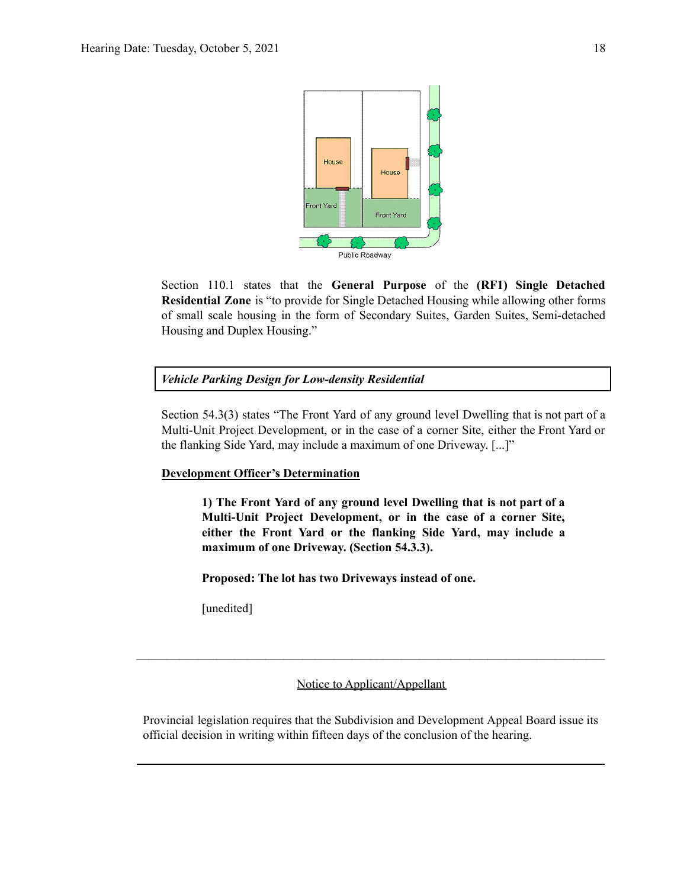

Section 110.1 states that the **General Purpose** of the **(RF1) Single Detached Residential Zone** is "to provide for Single Detached Housing while allowing other forms of small scale housing in the form of Secondary Suites, Garden Suites, Semi-detached Housing and Duplex Housing."

# *Vehicle Parking Design for Low-density Residential*

Section 54.3(3) states "The Front Yard of any ground level Dwelling that is not part of a Multi-Unit Project Development, or in the case of a corner Site, either the Front Yard or the flanking Side Yard, may include a maximum of one Driveway. [...]"

# **Development Officer's Determination**

**1) The Front Yard of any ground level Dwelling that is not part of a Multi-Unit Project Development, or in the case of a corner Site, either the Front Yard or the flanking Side Yard, may include a maximum of one Driveway. (Section 54.3.3).**

**Proposed: The lot has two Driveways instead of one.**

[unedited]

Notice to Applicant/Appellant

 $\mathcal{L}_\mathcal{L} = \{ \mathcal{L}_\mathcal{L} = \{ \mathcal{L}_\mathcal{L} = \{ \mathcal{L}_\mathcal{L} = \{ \mathcal{L}_\mathcal{L} = \{ \mathcal{L}_\mathcal{L} = \{ \mathcal{L}_\mathcal{L} = \{ \mathcal{L}_\mathcal{L} = \{ \mathcal{L}_\mathcal{L} = \{ \mathcal{L}_\mathcal{L} = \{ \mathcal{L}_\mathcal{L} = \{ \mathcal{L}_\mathcal{L} = \{ \mathcal{L}_\mathcal{L} = \{ \mathcal{L}_\mathcal{L} = \{ \mathcal{L}_\mathcal{$ 

Provincial legislation requires that the Subdivision and Development Appeal Board issue its official decision in writing within fifteen days of the conclusion of the hearing.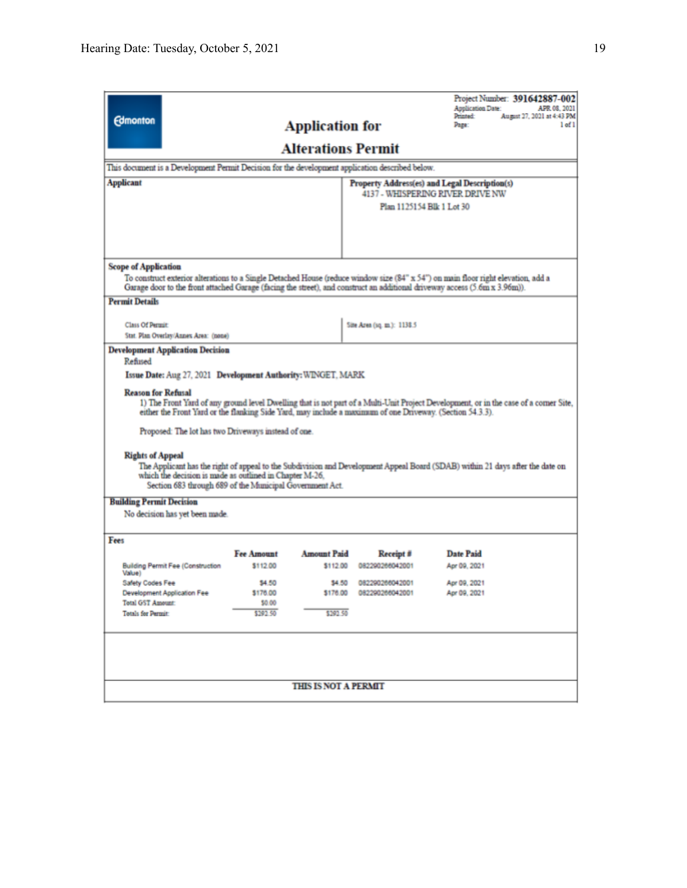| <b>Edmonton</b>                                                                                                                                                                                                                                                                                                                                                                                                                                                                                                                                                                                                                                                                                                                                                |                                                                                                 | <b>Application for</b>         |                              | <b>Application Date:</b><br>Printed:<br>Page: | Project Number: 391642887-002<br>APR 08, 2021<br>August 27, 2021 at 4:43 PM<br>$1$ of $1$ |  |  |  |
|----------------------------------------------------------------------------------------------------------------------------------------------------------------------------------------------------------------------------------------------------------------------------------------------------------------------------------------------------------------------------------------------------------------------------------------------------------------------------------------------------------------------------------------------------------------------------------------------------------------------------------------------------------------------------------------------------------------------------------------------------------------|-------------------------------------------------------------------------------------------------|--------------------------------|------------------------------|-----------------------------------------------|-------------------------------------------------------------------------------------------|--|--|--|
| <b>Alterations Permit</b>                                                                                                                                                                                                                                                                                                                                                                                                                                                                                                                                                                                                                                                                                                                                      |                                                                                                 |                                |                              |                                               |                                                                                           |  |  |  |
|                                                                                                                                                                                                                                                                                                                                                                                                                                                                                                                                                                                                                                                                                                                                                                | This document is a Development Permit Decision for the development application described below. |                                |                              |                                               |                                                                                           |  |  |  |
| <b>Applicant</b><br>Property Address(es) and Legal Description(s)<br>4137 - WHISPERING RIVER DRIVE NW                                                                                                                                                                                                                                                                                                                                                                                                                                                                                                                                                                                                                                                          |                                                                                                 |                                |                              |                                               |                                                                                           |  |  |  |
|                                                                                                                                                                                                                                                                                                                                                                                                                                                                                                                                                                                                                                                                                                                                                                |                                                                                                 |                                |                              |                                               |                                                                                           |  |  |  |
|                                                                                                                                                                                                                                                                                                                                                                                                                                                                                                                                                                                                                                                                                                                                                                |                                                                                                 |                                |                              |                                               |                                                                                           |  |  |  |
|                                                                                                                                                                                                                                                                                                                                                                                                                                                                                                                                                                                                                                                                                                                                                                |                                                                                                 |                                |                              |                                               |                                                                                           |  |  |  |
| <b>Scope of Application</b>                                                                                                                                                                                                                                                                                                                                                                                                                                                                                                                                                                                                                                                                                                                                    |                                                                                                 |                                |                              |                                               |                                                                                           |  |  |  |
| To construct exterior alterations to a Single Detached House (reduce window size (84" x 54") on main floor right elevation, add a<br>Garage door to the front attached Garage (facing the street), and construct an additional driveway access (5.6m x 3.96m)).                                                                                                                                                                                                                                                                                                                                                                                                                                                                                                |                                                                                                 |                                |                              |                                               |                                                                                           |  |  |  |
| <b>Permit Details</b>                                                                                                                                                                                                                                                                                                                                                                                                                                                                                                                                                                                                                                                                                                                                          |                                                                                                 |                                |                              |                                               |                                                                                           |  |  |  |
| <b>Class Of Permit</b>                                                                                                                                                                                                                                                                                                                                                                                                                                                                                                                                                                                                                                                                                                                                         |                                                                                                 |                                | Site Area (sq. m.): 1138.5   |                                               |                                                                                           |  |  |  |
| Stat. Plan Overlay/Annex Area: (none)                                                                                                                                                                                                                                                                                                                                                                                                                                                                                                                                                                                                                                                                                                                          |                                                                                                 |                                |                              |                                               |                                                                                           |  |  |  |
| Issue Date: Aug 27, 2021 Development Authority: WINGET, MARK<br><b>Reason for Refusal</b><br>1) The Front Yard of any ground level Dwelling that is not part of a Multi-Unit Project Development, or in the case of a corner Site,<br>either the Front Yard or the flanking Side Yard, may include a maximum of one Driveway. (Section 54.3.3).<br>Proposed: The lot has two Driveways instead of one.<br><b>Rights of Appeal</b><br>The Applicant has the right of appeal to the Subdivision and Development Appeal Board (SDAB) within 21 days after the date on<br>which the decision is made as outlined in Chapter M-26.<br>Section 683 through 689 of the Municipal Government Act.<br><b>Building Permit Decision</b><br>No decision has yet been made. |                                                                                                 |                                |                              |                                               |                                                                                           |  |  |  |
| Fees                                                                                                                                                                                                                                                                                                                                                                                                                                                                                                                                                                                                                                                                                                                                                           |                                                                                                 |                                |                              |                                               |                                                                                           |  |  |  |
| <b>Building Permit Fee (Construction</b><br>Value)                                                                                                                                                                                                                                                                                                                                                                                                                                                                                                                                                                                                                                                                                                             | <b>Fee Amount</b><br>\$112.00                                                                   | <b>Amount Paid</b><br>\$112.00 | Receipt #<br>082290266042001 | <b>Date Paid</b><br>Apr 09, 2021              |                                                                                           |  |  |  |
| Safety Codes Fee                                                                                                                                                                                                                                                                                                                                                                                                                                                                                                                                                                                                                                                                                                                                               | \$4.50                                                                                          | \$4.50                         | 082290266042001              | Apr 09, 2021                                  |                                                                                           |  |  |  |
| Development Application Fee                                                                                                                                                                                                                                                                                                                                                                                                                                                                                                                                                                                                                                                                                                                                    | \$176.00                                                                                        | \$176.00                       | 082290266042001              | Apr 09, 2021                                  |                                                                                           |  |  |  |
| <b>Total GST Amount:</b><br><b>Totals for Permit:</b>                                                                                                                                                                                                                                                                                                                                                                                                                                                                                                                                                                                                                                                                                                          | \$0.00<br>\$392.50                                                                              | \$292.50                       |                              |                                               |                                                                                           |  |  |  |
| <b>THIS IS NOT A PERMIT</b>                                                                                                                                                                                                                                                                                                                                                                                                                                                                                                                                                                                                                                                                                                                                    |                                                                                                 |                                |                              |                                               |                                                                                           |  |  |  |
|                                                                                                                                                                                                                                                                                                                                                                                                                                                                                                                                                                                                                                                                                                                                                                |                                                                                                 |                                |                              |                                               |                                                                                           |  |  |  |